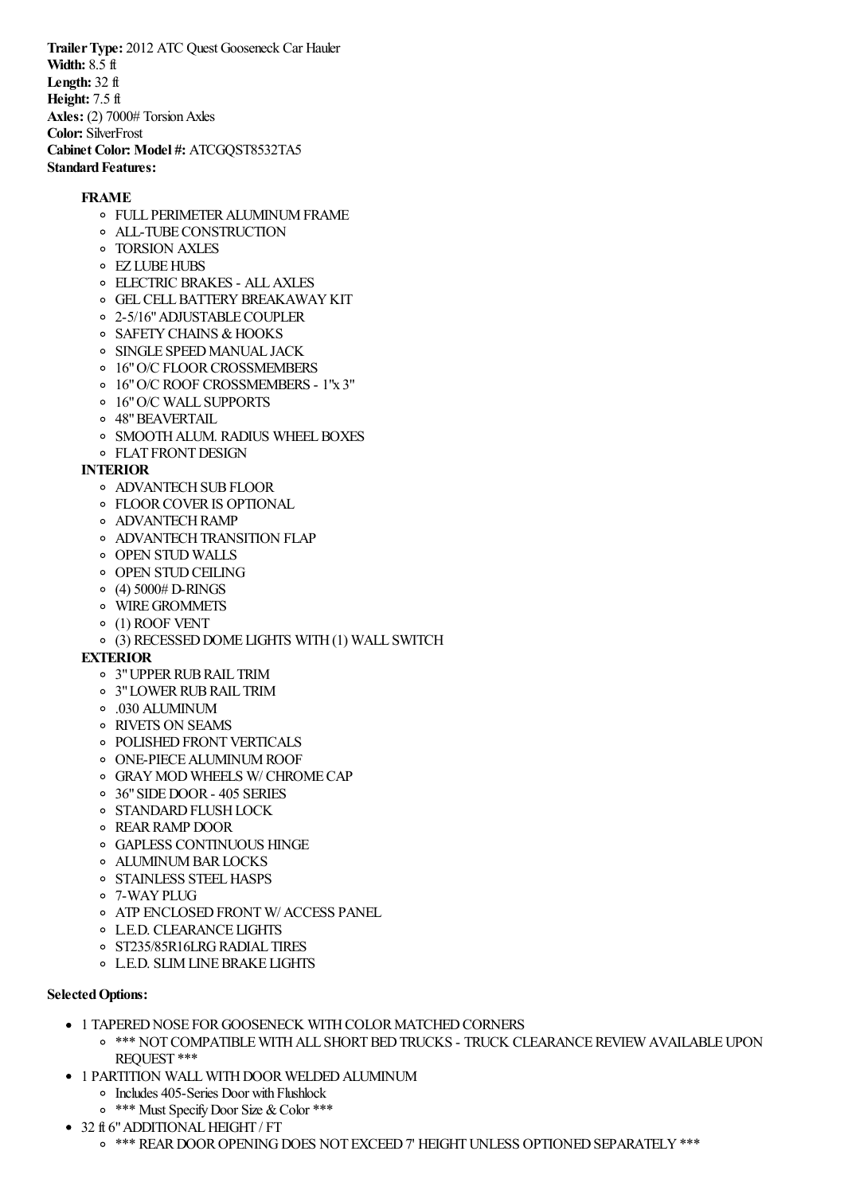**TrailerType:** 2012 ATC Quest Gooseneck Car Hauler **Width:** 8.5 ft **Length:** 32 ft **Height:** 7.5 ft Axles: (2) 7000# Torsion Axles **Color:** SilverFrost **Cabinet Color: Model #:** ATCGQST8532TA5 **Standard Features:** 

## **FRAME**

- **O FULL PERIMETER ALUMINUM FRAME**
- ALL-TUBECONSTRUCTION
- TORSION AXLES
- **O** EZ LUBE HUBS
- ELECTRIC BRAKES ALLAXLES
- **O GEL CELL BATTERY BREAKAWAY KIT**
- o 2-5/16" ADJUSTABLE COUPLER
- o SAFETY CHAINS & HOOKS
- o SINGLE SPEED MANUAL JACK
- o 16" O/C FLOOR CROSSMEMBERS
- 16"O/C ROOF CROSSMEMBERS 1"x 3"
- 16"O/C WALL SUPPORTS
- 48"BEAVERTAIL
- o SMOOTH ALUM. RADIUS WHEEL BOXES
- **O** FLAT FRONT DESIGN

## **INTERIOR**

- o ADVANTECH SUB FLOOR
- FLOORCOVERIS OPTIONAL
- **O** ADVANTECH RAMP
- **O ADVANTECH TRANSITION FLAP**
- OPEN STUD WALLS
- **OPEN STUD CEILING**
- $\circ$  (4) 5000# D-RINGS
- WIREGROMMETS
- (1) ROOF VENT
- (3) RECESSEDDOME LIGHTS WITH(1) WALL SWITCH

## **EXTERIOR**

- 3"UPPERRUBRAIL TRIM
- o 3" LOWER RUB RAIL TRIM
- .030 ALUMINUM
- RIVETS ON SEAMS
- o POLISHED FRONT VERTICALS
- o ONE-PIECE ALUMINUM ROOF
- GRAYMOD WHEELS W/ CHROMECAP
- 36"SIDEDOOR- 405 SERIES
- **O STANDARD FLUSH LOCK**
- REARRAMP DOOR
- GAPLESS CONTINUOUS HINGE
- o ALUMINUM BAR LOCKS
- o STAINLESS STEEL HASPS
- 7-WAYPLUG
- **O ATP ENCLOSED FRONT W/ ACCESS PANEL**
- L.E.D. CLEARANCE LIGHTS
- o ST235/85R16LRG RADIAL TIRES
- L.E.D. SLIMLINEBRAKE LIGHTS

## **Selected Options:**

- $\bullet$  1 TAPERED NOSE FOR GOOSENECK WITH COLOR MATCHED CORNERS
	- $\circ$  \*\*\* NOT COMPATIBLE WITH ALL SHORT BED TRUCKS TRUCK CLEARANCE REVIEW AVAILABLE UPON REQUEST \*\*\*
- 1 PARTITION WALL WITH DOOR WELDED ALUMINUM
	- Includes 405-Series Door with Flushlock
	- <sup>o</sup> \*\*\* Must Specify Door Size & Color \*\*\*
- 32 ft 6" ADDITIONAL HEIGHT / FT
	- $\circ$  \*\*\* REAR DOOR OPENING DOES NOT EXCEED 7' HEIGHT UNLESS OPTIONED SEPARATELY \*\*\*